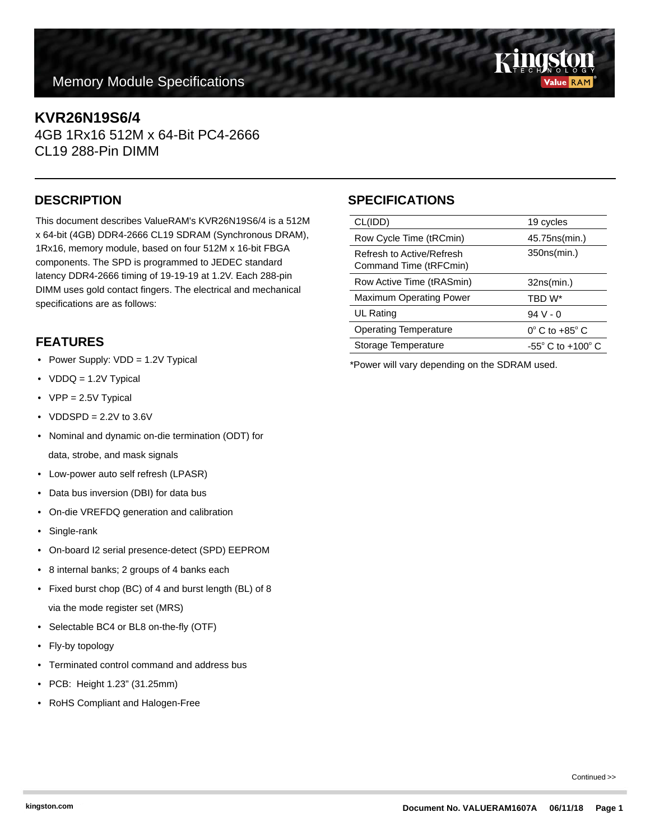# **Memory Module Specifications**

#### **KVR26N19S6/4**

4GB 1Rx16 512M x 64-Bit PC4-2666 CL19 288-Pin DIMM

This document describes ValueRAM's KVR26N19S6/4 is a 512M x 64-bit (4GB) DDR4-2666 CL19 SDRAM (Synchronous DRAM), 1Rx16, memory module, based on four 512M x 16-bit FBGA components. The SPD is programmed to JEDEC standard latency DDR4-2666 timing of 19-19-19 at 1.2V. Each 288-pin DIMM uses gold contact fingers. The electrical and mechanical specifications are as follows:

## **FEATURES**

- Power Supply: VDD = 1.2V Typical
- VDDQ = 1.2V Typical
- VPP = 2.5V Typical
- VDDSPD =  $2.2V$  to  $3.6V$
- Nominal and dynamic on-die termination (ODT) for data, strobe, and mask signals
- Low-power auto self refresh (LPASR)
- Data bus inversion (DBI) for data bus
- On-die VREFDQ generation and calibration
- Single-rank
- On-board I2 serial presence-detect (SPD) EEPROM
- 8 internal banks; 2 groups of 4 banks each
- Fixed burst chop (BC) of 4 and burst length (BL) of 8 via the mode register set (MRS)
- Selectable BC4 or BL8 on-the-fly (OTF)
- Fly-by topology
- Terminated control command and address bus
- PCB: Height 1.23" (31.25mm)
- RoHS Compliant and Halogen-Free

## **DESCRIPTION SPECIFICATIONS**

| CL(IDD)                                             | 19 cycles                           |
|-----------------------------------------------------|-------------------------------------|
| Row Cycle Time (tRCmin)                             | 45.75ns(min.)                       |
| Refresh to Active/Refresh<br>Command Time (tRFCmin) | 350ns(min.)                         |
| Row Active Time (tRASmin)                           | 32ns(min.)                          |
| <b>Maximum Operating Power</b>                      | TBD W*                              |
| UL Rating                                           | $94V - 0$                           |
| <b>Operating Temperature</b>                        | $0^\circ$ C to +85 $^\circ$ C       |
| Storage Temperature                                 | $-55^{\circ}$ C to $+100^{\circ}$ C |
|                                                     |                                     |

\*Power will vary depending on the SDRAM used.